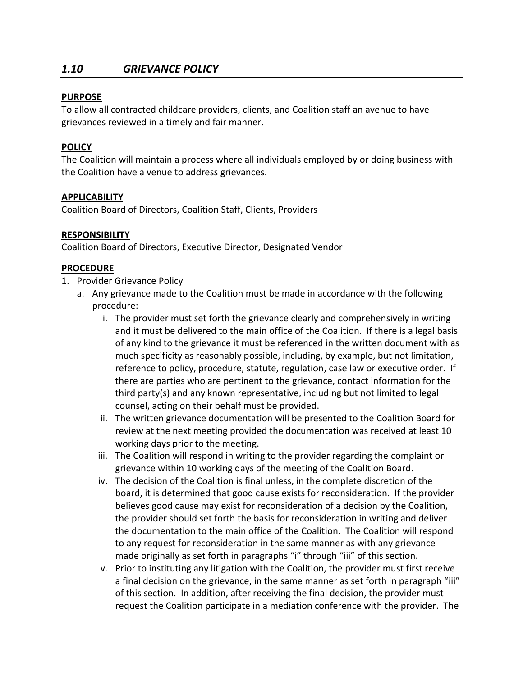# *1.10 GRIEVANCE POLICY*

### **PURPOSE**

To allow all contracted childcare providers, clients, and Coalition staff an avenue to have grievances reviewed in a timely and fair manner.

## **POLICY**

The Coalition will maintain a process where all individuals employed by or doing business with the Coalition have a venue to address grievances.

#### **APPLICABILITY**

Coalition Board of Directors, Coalition Staff, Clients, Providers

#### **RESPONSIBILITY**

Coalition Board of Directors, Executive Director, Designated Vendor

#### **PROCEDURE**

- 1. Provider Grievance Policy
	- a. Any grievance made to the Coalition must be made in accordance with the following procedure:
		- i. The provider must set forth the grievance clearly and comprehensively in writing and it must be delivered to the main office of the Coalition. If there is a legal basis of any kind to the grievance it must be referenced in the written document with as much specificity as reasonably possible, including, by example, but not limitation, reference to policy, procedure, statute, regulation, case law or executive order. If there are parties who are pertinent to the grievance, contact information for the third party(s) and any known representative, including but not limited to legal counsel, acting on their behalf must be provided.
		- ii. The written grievance documentation will be presented to the Coalition Board for review at the next meeting provided the documentation was received at least 10 working days prior to the meeting.
		- iii. The Coalition will respond in writing to the provider regarding the complaint or grievance within 10 working days of the meeting of the Coalition Board.
		- iv. The decision of the Coalition is final unless, in the complete discretion of the board, it is determined that good cause exists for reconsideration. If the provider believes good cause may exist for reconsideration of a decision by the Coalition, the provider should set forth the basis for reconsideration in writing and deliver the documentation to the main office of the Coalition. The Coalition will respond to any request for reconsideration in the same manner as with any grievance made originally as set forth in paragraphs "i" through "iii" of this section.
		- v. Prior to instituting any litigation with the Coalition, the provider must first receive a final decision on the grievance, in the same manner as set forth in paragraph "iii" of this section. In addition, after receiving the final decision, the provider must request the Coalition participate in a mediation conference with the provider. The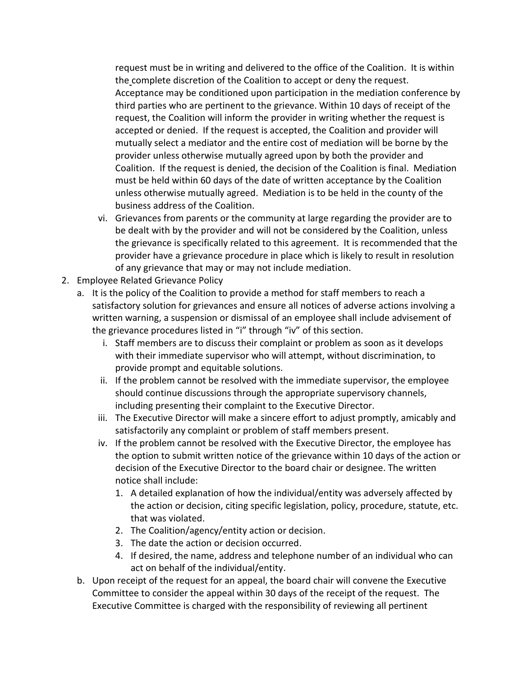request must be in writing and delivered to the office of the Coalition. It is within the complete discretion of the Coalition to accept or deny the request. Acceptance may be conditioned upon participation in the mediation conference by third parties who are pertinent to the grievance. Within 10 days of receipt of the request, the Coalition will inform the provider in writing whether the request is accepted or denied. If the request is accepted, the Coalition and provider will mutually select a mediator and the entire cost of mediation will be borne by the provider unless otherwise mutually agreed upon by both the provider and Coalition. If the request is denied, the decision of the Coalition is final. Mediation must be held within 60 days of the date of written acceptance by the Coalition unless otherwise mutually agreed. Mediation is to be held in the county of the business address of the Coalition.

- vi. Grievances from parents or the community at large regarding the provider are to be dealt with by the provider and will not be considered by the Coalition, unless the grievance is specifically related to this agreement. It is recommended that the provider have a grievance procedure in place which is likely to result in resolution of any grievance that may or may not include mediation.
- 2. Employee Related Grievance Policy
	- a. It is the policy of the Coalition to provide a method for staff members to reach a satisfactory solution for grievances and ensure all notices of adverse actions involving a written warning, a suspension or dismissal of an employee shall include advisement of the grievance procedures listed in "i" through "iv" of this section.
		- i. Staff members are to discuss their complaint or problem as soon as it develops with their immediate supervisor who will attempt, without discrimination, to provide prompt and equitable solutions.
		- ii. If the problem cannot be resolved with the immediate supervisor, the employee should continue discussions through the appropriate supervisory channels, including presenting their complaint to the Executive Director.
		- iii. The Executive Director will make a sincere effort to adjust promptly, amicably and satisfactorily any complaint or problem of staff members present.
		- iv. If the problem cannot be resolved with the Executive Director, the employee has the option to submit written notice of the grievance within 10 days of the action or decision of the Executive Director to the board chair or designee. The written notice shall include:
			- 1. A detailed explanation of how the individual/entity was adversely affected by the action or decision, citing specific legislation, policy, procedure, statute, etc. that was violated.
			- 2. The Coalition/agency/entity action or decision.
			- 3. The date the action or decision occurred.
			- 4. If desired, the name, address and telephone number of an individual who can act on behalf of the individual/entity.
	- b. Upon receipt of the request for an appeal, the board chair will convene the Executive Committee to consider the appeal within 30 days of the receipt of the request. The Executive Committee is charged with the responsibility of reviewing all pertinent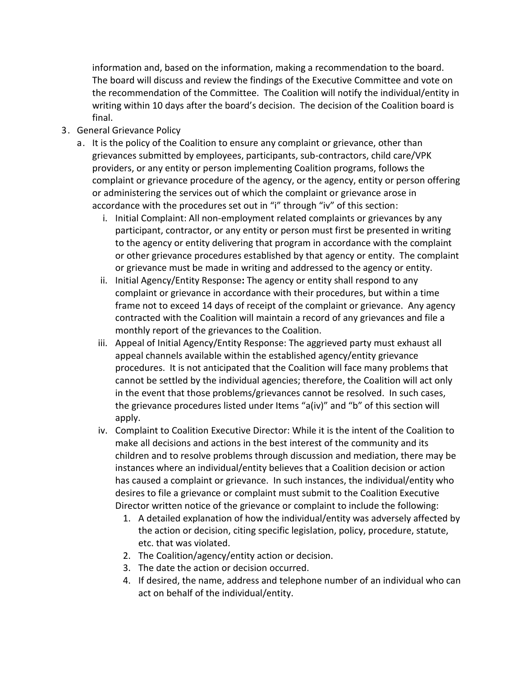information and, based on the information, making a recommendation to the board. The board will discuss and review the findings of the Executive Committee and vote on the recommendation of the Committee. The Coalition will notify the individual/entity in writing within 10 days after the board's decision. The decision of the Coalition board is final.

- 3. General Grievance Policy
	- a. It is the policy of the Coalition to ensure any complaint or grievance, other than grievances submitted by employees, participants, sub-contractors, child care/VPK providers, or any entity or person implementing Coalition programs, follows the complaint or grievance procedure of the agency, or the agency, entity or person offering or administering the services out of which the complaint or grievance arose in accordance with the procedures set out in "i" through "iv" of this section:
		- i. Initial Complaint: All non-employment related complaints or grievances by any participant, contractor, or any entity or person must first be presented in writing to the agency or entity delivering that program in accordance with the complaint or other grievance procedures established by that agency or entity. The complaint or grievance must be made in writing and addressed to the agency or entity.
		- ii. Initial Agency/Entity Response**:** The agency or entity shall respond to any complaint or grievance in accordance with their procedures, but within a time frame not to exceed 14 days of receipt of the complaint or grievance. Any agency contracted with the Coalition will maintain a record of any grievances and file a monthly report of the grievances to the Coalition.
		- iii. Appeal of Initial Agency/Entity Response: The aggrieved party must exhaust all appeal channels available within the established agency/entity grievance procedures. It is not anticipated that the Coalition will face many problems that cannot be settled by the individual agencies; therefore, the Coalition will act only in the event that those problems/grievances cannot be resolved. In such cases, the grievance procedures listed under Items "a(iv)" and "b" of this section will apply.
		- iv. Complaint to Coalition Executive Director: While it is the intent of the Coalition to make all decisions and actions in the best interest of the community and its children and to resolve problems through discussion and mediation, there may be instances where an individual/entity believes that a Coalition decision or action has caused a complaint or grievance. In such instances, the individual/entity who desires to file a grievance or complaint must submit to the Coalition Executive Director written notice of the grievance or complaint to include the following:
			- 1. A detailed explanation of how the individual/entity was adversely affected by the action or decision, citing specific legislation, policy, procedure, statute, etc. that was violated.
			- 2. The Coalition/agency/entity action or decision.
			- 3. The date the action or decision occurred.
			- 4. If desired, the name, address and telephone number of an individual who can act on behalf of the individual/entity.